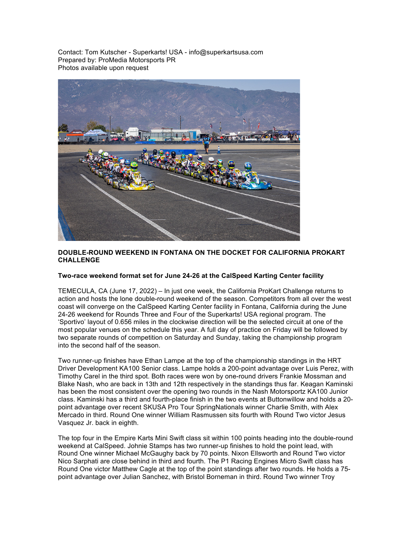Contact: Tom Kutscher - Superkarts! USA - info@superkartsusa.com Prepared by: ProMedia Motorsports PR Photos available upon request



## **DOUBLE-ROUND WEEKEND IN FONTANA ON THE DOCKET FOR CALIFORNIA PROKART CHALLENGE**

## **Two-race weekend format set for June 24-26 at the CalSpeed Karting Center facility**

TEMECULA, CA (June 17, 2022) – In just one week, the California ProKart Challenge returns to action and hosts the lone double-round weekend of the season. Competitors from all over the west coast will converge on the CalSpeed Karting Center facility in Fontana, California during the June 24-26 weekend for Rounds Three and Four of the Superkarts! USA regional program. The 'Sportivo' layout of 0.656 miles in the clockwise direction will be the selected circuit at one of the most popular venues on the schedule this year. A full day of practice on Friday will be followed by two separate rounds of competition on Saturday and Sunday, taking the championship program into the second half of the season.

Two runner-up finishes have Ethan Lampe at the top of the championship standings in the HRT Driver Development KA100 Senior class. Lampe holds a 200-point advantage over Luis Perez, with Timothy Carel in the third spot. Both races were won by one-round drivers Frankie Mossman and Blake Nash, who are back in 13th and 12th respectively in the standings thus far. Keagan Kaminski has been the most consistent over the opening two rounds in the Nash Motorsportz KA100 Junior class. Kaminski has a third and fourth-place finish in the two events at Buttonwillow and holds a 20 point advantage over recent SKUSA Pro Tour SpringNationals winner Charlie Smith, with Alex Mercado in third. Round One winner William Rasmussen sits fourth with Round Two victor Jesus Vasquez Jr. back in eighth.

The top four in the Empire Karts Mini Swift class sit within 100 points heading into the double-round weekend at CalSpeed. Johnie Stamps has two runner-up finishes to hold the point lead, with Round One winner Michael McGaughy back by 70 points. Nixon Ellsworth and Round Two victor Nico Sarphati are close behind in third and fourth. The P1 Racing Engines Micro Swift class has Round One victor Matthew Cagle at the top of the point standings after two rounds. He holds a 75 point advantage over Julian Sanchez, with Bristol Borneman in third. Round Two winner Troy